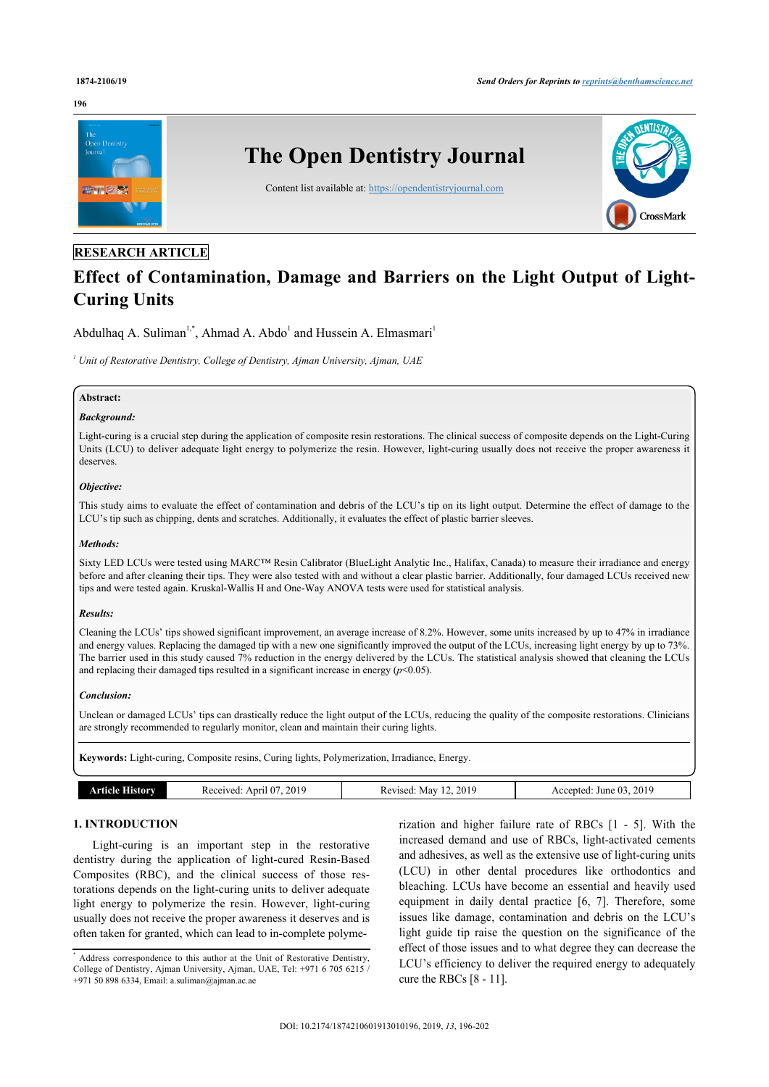#### **196**



# **RESEARCH ARTICLE**

# **Effect of Contamination, Damage and Barriers on the Light Output of Light-Curing Units**

Abdulhaq A. Suliman<sup>[1](#page--1-0)[,\\*](#page-0-0)</sup>, Ahmad A. Abdo<sup>1</sup> and Hussein A. Elmasmari<sup>1</sup>

*1 Unit of Restorative Dentistry, College of Dentistry, Ajman University, Ajman, UAE*

# **Abstract:**

# *Background:*

Light-curing is a crucial step during the application of composite resin restorations. The clinical success of composite depends on the Light-Curing Units (LCU) to deliver adequate light energy to polymerize the resin. However, light-curing usually does not receive the proper awareness it deserves.

# *Objective:*

This study aims to evaluate the effect of contamination and debris of the LCU's tip on its light output. Determine the effect of damage to the LCU's tip such as chipping, dents and scratches. Additionally, it evaluates the effect of plastic barrier sleeves.

### *Methods:*

Sixty LED LCUs were tested using MARC™ Resin Calibrator (BlueLight Analytic Inc., Halifax, Canada) to measure their irradiance and energy before and after cleaning their tips. They were also tested with and without a clear plastic barrier. Additionally, four damaged LCUs received new tips and were tested again. Kruskal-Wallis H and One-Way ANOVA tests were used for statistical analysis.

# *Results:*

Cleaning the LCUs' tips showed significant improvement, an average increase of 8.2%. However, some units increased by up to 47% in irradiance and energy values. Replacing the damaged tip with a new one significantly improved the output of the LCUs, increasing light energy by up to 73%. The barrier used in this study caused 7% reduction in the energy delivered by the LCUs. The statistical analysis showed that cleaning the LCUs and replacing their damaged tips resulted in a significant increase in energy  $(p<0.05)$ .

# *Conclusion:*

Unclean or damaged LCUs' tips can drastically reduce the light output of the LCUs, reducing the quality of the composite restorations. Clinicians are strongly recommended to regularly monitor, clean and maintain their curing lights.

**Keywords:** Light-curing, Composite resins, Curing lights, Polymerization, Irradiance, Energy.

| um" | 2019<br>Anril<br>$\gamma$ Wei | 2019<br>May<br>vised.<br>w | .2019<br>$\sim$<br>June 03<br>:ntec |
|-----|-------------------------------|----------------------------|-------------------------------------|
|     |                               |                            |                                     |

# **1. INTRODUCTION**

Light-curing is an important step in the restorative dentistry during the application of light-cured Resin-Based Composites (RBC), and the clinical success of those restorations depends on the light-curing units to deliver adequate light energy to polymerize the resin. However, light-curing usually does not receive the proper awareness it deserves and is often taken for granted, which can lead to in-complete polyme-

rization and higher failure rate of RBCs [\[1](#page-5-0) - [5](#page-6-0)]. With the increased demand and use of RBCs, light-activated cements and adhesives, as well as the extensive use of light-curing units (LCU) in other dental procedures like orthodontics and bleaching. LCUs have become an essential and heavily used equipment in daily dental practice [\[6](#page-6-1), [7](#page-6-2)]. Therefore, some issues like damage, contamination and debris on the LCU's light guide tip raise the question on the significance of the effect of those issues and to what degree they can decrease the LCU's efficiency to deliver the required energy to adequately cure the RBCs [[8](#page-6-3) - [11\]](#page-6-4).

<span id="page-0-0"></span><sup>\*</sup> Address correspondence to this author at the Unit of Restorative Dentistry, College of Dentistry, Ajman University, Ajman, UAE, Tel: +971 6 705 6215 / +971 50 898 6334, Email: [a.suliman@ajman.ac.ae](mailto:a.suliman@ajman.ac.ae)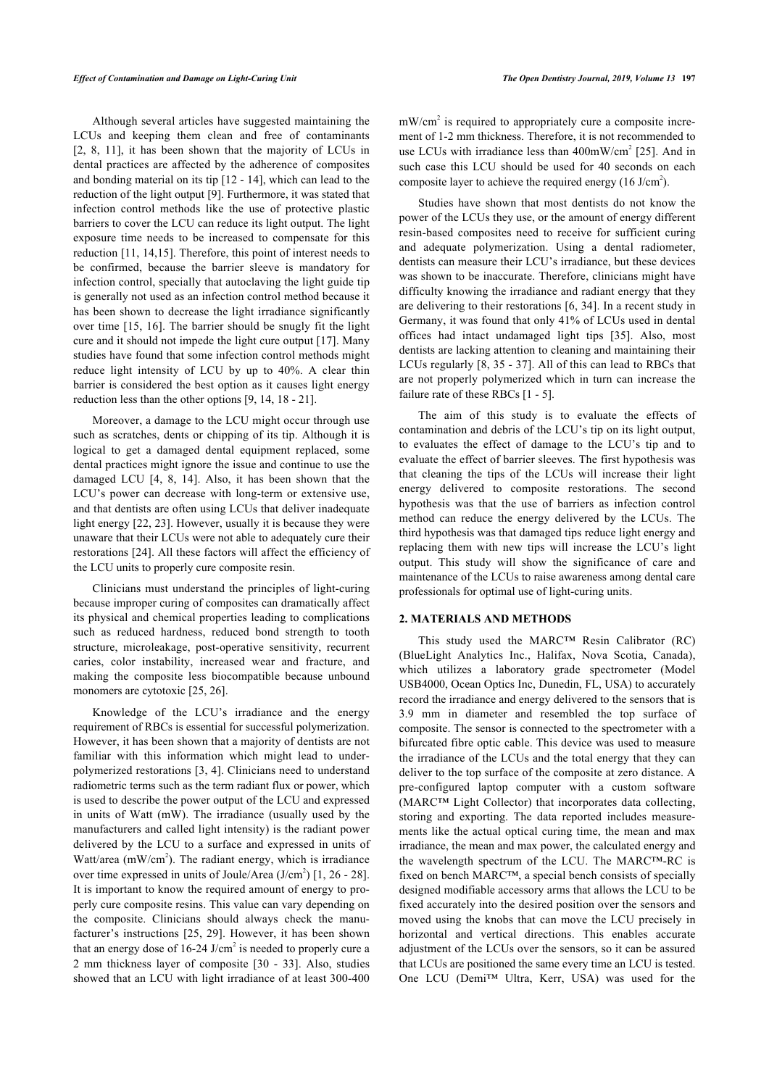Although several articles have suggested maintaining the LCUs and keeping them clean and free of contaminants [[2](#page-5-1), [8](#page-6-3), [11\]](#page-6-4), it has been shown that the majority of LCUs in dental practices are affected by the adherence of composites and bonding material on its tip [[12](#page-6-5) - [14\]](#page-6-6), which can lead to the reduction of the light output [[9](#page-6-7)]. Furthermore, it was stated that infection control methods like the use of protective plastic barriers to cover the LCU can reduce its light output. The light exposure time needs to be increased to compensate for this reduction [[11,](#page-6-4) [14,](#page-6-6)[15](#page-6-8)]. Therefore, this point of interest needs to be confirmed, because the barrier sleeve is mandatory for infection control, specially that autoclaving the light guide tip is generally not used as an infection control method because it has been shown to decrease the light irradiance significantly over time [[15,](#page-6-8) [16\]](#page-6-9). The barrier should be snugly fit the light cure and it should not impede the light cure output [\[17](#page-6-10)]. Many studies have found that some infection control methods might reduce light intensity of LCU by up to 40%. A clear thin barrier is considered the best option as it causes light energy reduction less than the other options [\[9,](#page-6-7) [14](#page-6-6), [18](#page-6-11) - [21](#page-6-12)].

Moreover, a damage to the LCU might occur through use such as scratches, dents or chipping of its tip. Although it is logical to get a damaged dental equipment replaced, some dental practices might ignore the issue and continue to use the damaged LCU[[4,](#page-6-13) [8](#page-6-3), [14\]](#page-6-6). Also, it has been shown that the LCU's power can decrease with long-term or extensive use, and that dentists are often using LCUs that deliver inadequate light energy [[22](#page-6-14), [23\]](#page-6-15). However, usually it is because they were unaware that their LCUs were not able to adequately cure their restorations [\[24](#page-6-16)]. All these factors will affect the efficiency of the LCU units to properly cure composite resin.

Clinicians must understand the principles of light-curing because improper curing of composites can dramatically affect its physical and chemical properties leading to complications such as reduced hardness, reduced bond strength to tooth structure, microleakage, post-operative sensitivity, recurrent caries, color instability, increased wear and fracture, and making the composite less biocompatible because unbound monomers are cytotoxic [[25,](#page-6-17) [26](#page-6-1)].

Knowledge of the LCU's irradiance and the energy requirement of RBCs is essential for successful polymerization. However, it has been shown that a majority of dentists are not familiar with this information which might lead to underpolymerized restorations [[3,](#page-6-15) [4](#page-6-13)]. Clinicians need to understand radiometric terms such as the term radiant flux or power, which is used to describe the power output of the LCU and expressed in units of Watt (mW). The irradiance (usually used by the manufacturers and called light intensity) is the radiant power delivered by the LCU to a surface and expressed in units of Watt/area (mW/cm<sup>2</sup>). The radiant energy, which is irradiance over time expressed in units of Joule/Area  $(J/cm<sup>2</sup>)$  [[1](#page-5-0), [26](#page-6-1) - [28\]](#page-6-18). It is important to know the required amount of energy to properly cure composite resins. This value can vary depending on the composite. Clinicians should always check the manufacturer's instructions [\[25](#page-6-17), [29](#page-6-19)]. However, it has been shown that an energy dose of  $16-24$  J/cm<sup>2</sup> is needed to properly cure a 2 mm thickness layer of composite [\[30](#page-6-20) - [33](#page-6-21)]. Also, studies showed that an LCU with light irradiance of at least 300-400

 $mW/cm<sup>2</sup>$  is required to appropriately cure a composite increment of 1-2 mm thickness. Therefore, it is not recommended to use LCUs with irradiance less than  $400 \text{mW/cm}^2$  [\[25\]](#page-6-17). And in such case this LCU should be used for 40 seconds on each composite layer to achieve the required energy  $(16 \text{ J/cm}^2)$ .

Studies have shown that most dentists do not know the power of the LCUs they use, or the amount of energy different resin-based composites need to receive for sufficient curing and adequate polymerization. Using a dental radiometer, dentists can measure their LCU's irradiance, but these devices was shown to be inaccurate. Therefore, clinicians might have difficulty knowing the irradiance and radiant energy that they are delivering to their restorations [[6](#page-6-1), [34](#page-6-22)]. In a recent study in Germany, it was found that only 41% of LCUs used in dental offices had intact undamaged light tips[[35\]](#page-6-23). Also, most dentists are lacking attention to cleaning and maintaining their LCUs regularly [\[8](#page-6-3), [35](#page-6-23) - [37\]](#page-6-24). All of this can lead to RBCs that are not properly polymerized which in turn can increase the failure rate of these RBCs [[1](#page-5-0) - [5](#page-6-0)].

The aim of this study is to evaluate the effects of contamination and debris of the LCU's tip on its light output, to evaluates the effect of damage to the LCU's tip and to evaluate the effect of barrier sleeves. The first hypothesis was that cleaning the tips of the LCUs will increase their light energy delivered to composite restorations. The second hypothesis was that the use of barriers as infection control method can reduce the energy delivered by the LCUs. The third hypothesis was that damaged tips reduce light energy and replacing them with new tips will increase the LCU's light output. This study will show the significance of care and maintenance of the LCUs to raise awareness among dental care professionals for optimal use of light-curing units.

# **2. MATERIALS AND METHODS**

This study used the MARC™ Resin Calibrator (RC) (BlueLight Analytics Inc., Halifax, Nova Scotia, Canada), which utilizes a laboratory grade spectrometer (Model USB4000, Ocean Optics Inc, Dunedin, FL, USA) to accurately record the irradiance and energy delivered to the sensors that is 3.9 mm in diameter and resembled the top surface of composite. The sensor is connected to the spectrometer with a bifurcated fibre optic cable. This device was used to measure the irradiance of the LCUs and the total energy that they can deliver to the top surface of the composite at zero distance. A pre-configured laptop computer with a custom software (MARC™ Light Collector) that incorporates data collecting, storing and exporting. The data reported includes measurements like the actual optical curing time, the mean and max irradiance, the mean and max power, the calculated energy and the wavelength spectrum of the LCU. The MARC™-RC is fixed on bench MARC™, a special bench consists of specially designed modifiable accessory arms that allows the LCU to be fixed accurately into the desired position over the sensors and moved using the knobs that can move the LCU precisely in horizontal and vertical directions. This enables accurate adjustment of the LCUs over the sensors, so it can be assured that LCUs are positioned the same every time an LCU is tested. One LCU (Demi™ Ultra, Kerr, USA) was used for the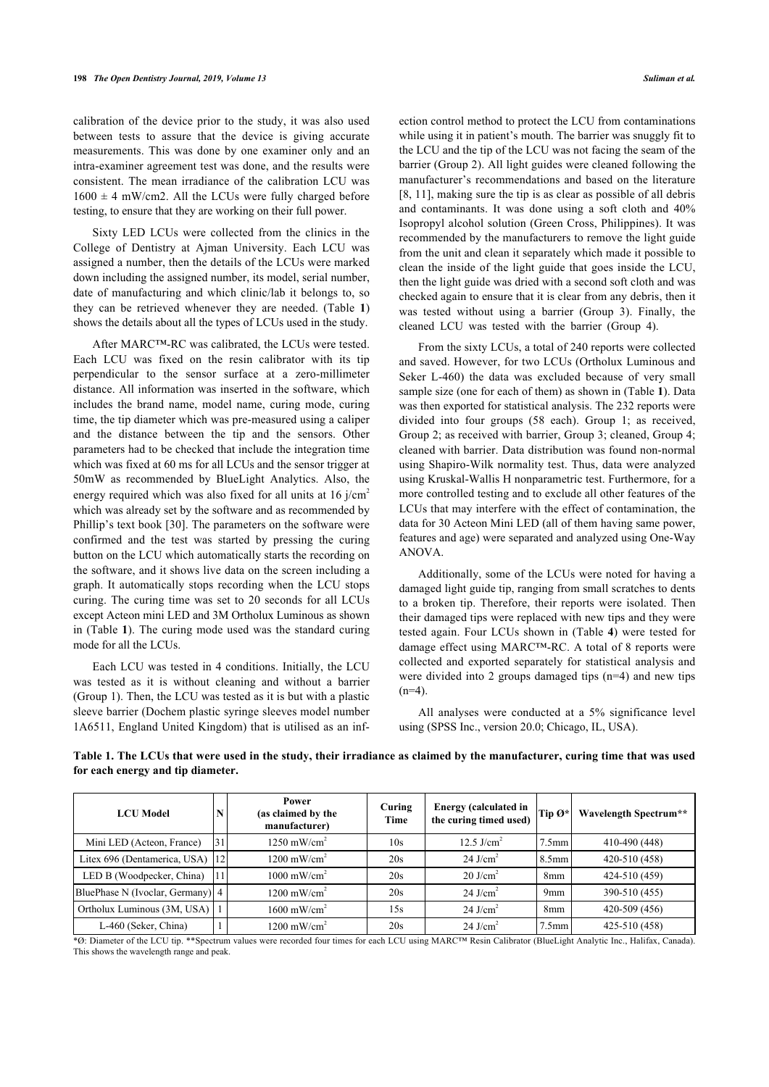calibration of the device prior to the study, it was also used between tests to assure that the device is giving accurate measurements. This was done by one examiner only and an intra-examiner agreement test was done, and the results were consistent. The mean irradiance of the calibration LCU was  $1600 \pm 4$  mW/cm2. All the LCUs were fully charged before testing, to ensure that they are working on their full power.

Sixty LED LCUs were collected from the clinics in the College of Dentistry at Ajman University. Each LCU was assigned a number, then the details of the LCUs were marked down including the assigned number, its model, serial number, date of manufacturing and which clinic/lab it belongs to, so they can be retrieved whenever they are needed. (Table**1**) shows the details about all the types of LCUs used in the study.

After MARC™-RC was calibrated, the LCUs were tested. Each LCU was fixed on the resin calibrator with its tip perpendicular to the sensor surface at a zero-millimeter distance. All information was inserted in the software, which includes the brand name, model name, curing mode, curing time, the tip diameter which was pre-measured using a caliper and the distance between the tip and the sensors. Other parameters had to be checked that include the integration time which was fixed at 60 ms for all LCUs and the sensor trigger at 50mW as recommended by BlueLight Analytics. Also, the energy required which was also fixed for all units at  $16$  j/cm<sup>2</sup> which was already s[et b](#page-6-20)y the software and as recommended by Phillip's text book [30]. The parameters on the software were confirmed and the test was started by pressing the curing button on the LCU which automatically starts the recording on the software, and it shows live data on the screen including a graph. It automatically stops recording when the LCU stops curing. The curing time was set to 20 seconds for all LCUs except Ac[te](#page-2-0)on mini LED and 3M Ortholux Luminous as shown in (Table **1**). The curing mode used was the standard curing mode for all the LCUs.

Each LCU was tested in 4 conditions. Initially, the LCU was tested as it is without cleaning and without a barrier (Group 1). Then, the LCU was tested as it is but with a plastic sleeve barrier (Dochem plastic syringe sleeves model number 1A6511, England United Kingdom) that is utilised as an infection control method to protect the LCU from contaminations while using it in patient's mouth. The barrier was snuggly fit to the LCU and the tip of the LCU was not facing the seam of the barrier (Group 2). All light guides were cleaned following the manufacturer's recommendations and based on the literature [[8,](#page-6-3) [11\]](#page-6-4), making sure the tip is as clear as possible of all debris and contaminants. It was done using a soft cloth and 40% Isopropyl alcohol solution (Green Cross, Philippines). It was recommended by the manufacturers to remove the light guide from the unit and clean it separately which made it possible to clean the inside of the light guide that goes inside the LCU, then the light guide was dried with a second soft cloth and was checked again to ensure that it is clear from any debris, then it was tested without using a barrier (Group 3). Finally, the cleaned LCU was tested with the barrier (Group 4).

From the sixty LCUs, a total of 240 reports were collected and saved. However, for two LCUs (Ortholux Luminous and Seker L-460) the data was excluded because of very small sample size (one for each of them) as shown in (Table **[1](#page-2-0)**). Data was then exported for statistical analysis. The 232 reports were divided into four groups (58 each). Group 1; as received, Group 2; as received with barrier, Group 3; cleaned, Group 4; cleaned with barrier. Data distribution was found non-normal using Shapiro-Wilk normality test. Thus, data were analyzed using Kruskal-Wallis H nonparametric test. Furthermore, for a more controlled testing and to exclude all other features of the LCUs that may interfere with the effect of contamination, the data for 30 Acteon Mini LED (all of them having same power, features and age) were separated and analyzed using One-Way ANOVA.

Additionally, some of the LCUs were noted for having a damaged light guide tip, ranging from small scratches to dents to a broken tip. Therefore, their reports were isolated. Then their damaged tips were replaced with new tips and they were tested again. Four LCUs shown in (Table **[4](#page-3-0)**) were tested for damage effect using MARC™-RC. A total of 8 reports were collected and exported separately for statistical analysis and were divided into 2 groups damaged tips (n=4) and new tips  $(n=4)$ .

All analyses were conducted at a 5% significance level using (SPSS Inc., version 20.0; Chicago, IL, USA).

| <b>LCU</b> Model                  |    | Power<br>(as claimed by the<br>manufacturer) | Curing<br>Time | <b>Energy (calculated in</b><br>the curing timed used) | $\vert$ Tip $\varnothing^*$ | Wavelength Spectrum** |
|-----------------------------------|----|----------------------------------------------|----------------|--------------------------------------------------------|-----------------------------|-----------------------|
| Mini LED (Acteon, France)         | 31 | $1250$ mW/cm <sup>2</sup>                    | 10s            | 12.5 $J/cm2$                                           | $7.5$ mm                    | 410-490 (448)         |
| Litex 696 (Dentamerica, USA) [12] |    | $1200 \text{ mW/cm}^2$                       | 20s            | $24$ J/cm <sup>2</sup>                                 | $8.5$ mm                    | 420-510 (458)         |
| LED B (Woodpecker, China)         |    | $1000$ mW/cm <sup>2</sup>                    | 20s            | $20$ J/cm <sup>2</sup>                                 | 8 <sub>mm</sub>             | 424-510 (459)         |
| BluePhase N (Ivoclar, Germany) 4  |    | $1200 \text{ mW/cm}^2$                       | 20s            | $24$ J/cm <sup>2</sup>                                 | 9 <sub>mm</sub>             | 390-510 (455)         |
| Ortholux Luminous (3M, USA)   1   |    | $1600$ mW/cm <sup>2</sup>                    | 15s            | 24 J/cm <sup>2</sup>                                   | 8 <sub>mm</sub>             | 420-509 (456)         |
| L-460 (Seker, China)              |    | $1200 \text{ mW/cm}^2$                       | 20s            | $24$ J/cm <sup>2</sup>                                 | $7.5$ mm                    | 425-510 (458)         |

<span id="page-2-0"></span>**Table 1. The LCUs that were used in the study, their irradiance as claimed by the manufacturer, curing time that was used for each energy and tip diameter.**

\*Ø: Diameter of the LCU tip. \*\*Spectrum values were recorded four times for each LCU using MARC™ Resin Calibrator (BlueLight Analytic Inc., Halifax, Canada). This shows the wavelength range and peak.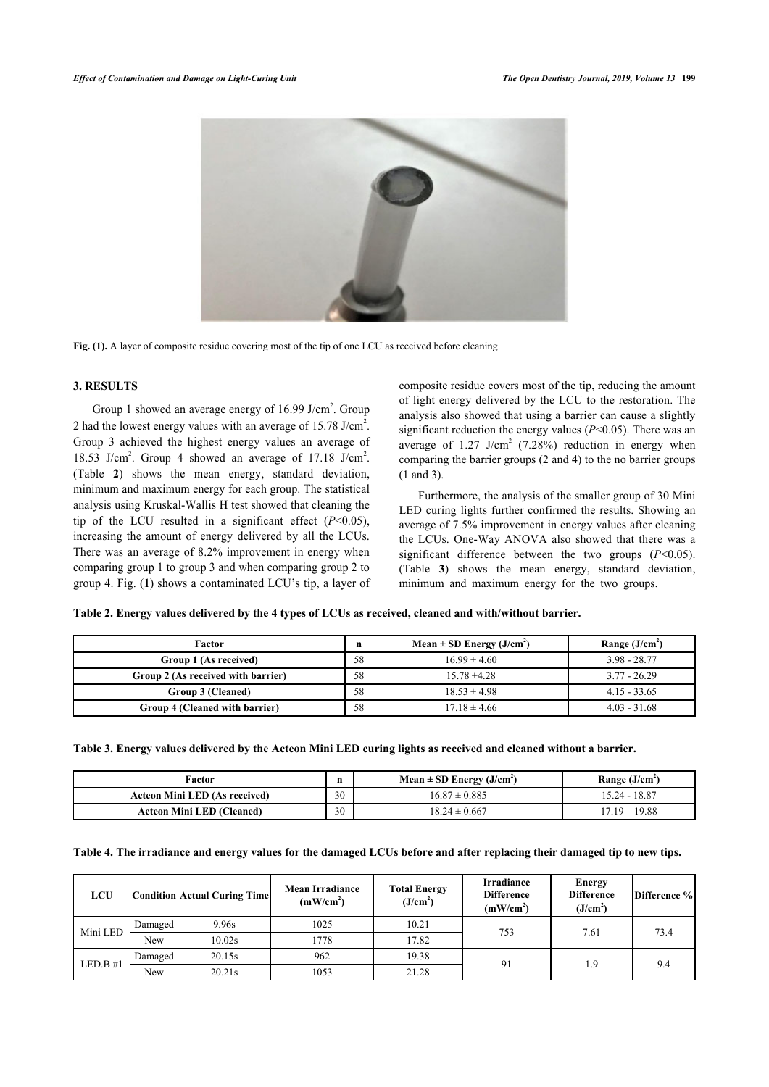<span id="page-3-2"></span>

Fig. (1). A layer of composite residue covering most of the tip of one LCU as received before cleaning.

# **3. RESULTS**

Group 1 showed an average energy of  $16.99$  J/cm<sup>2</sup>. Group 2 had the lowest energy values with an average of  $15.78$  J/cm<sup>2</sup>. Group 3 achieved the highest energy values an average of 18.53 J/cm<sup>2</sup>. Group 4 showed an average of 17.18 J/cm<sup>2</sup>. (Table**2**) shows the mean energy, standard deviation, minimum and maximum energy for each group. The statistical analysis using Kruskal-Wallis H test showed that cleaning the tip of the LCU resulted in a significant effect  $(P<0.05)$ , increasing the amount of energy delivered by all the LCUs. There was an average of 8.2% improvement in energy when comparing gro[up](#page-3-2) 1 to group 3 and when comparing group 2 to group 4. Fig. (**1**) shows a contaminated LCU's tip, a layer of composite residue covers most of the tip, reducing the amount of light energy delivered by the LCU to the restoration. The analysis also showed that using a barrier can cause a slightly significant reduction the energy values (*P*<0.05). There was an average of  $1.27$  J/cm<sup>2</sup> (7.28%) reduction in energy when comparing the barrier groups (2 and 4) to the no barrier groups (1 and 3).

Furthermore, the analysis of the smaller group of 30 Mini LED curing lights further confirmed the results. Showing an average of 7.5% improvement in energy values after cleaning the LCUs. One-Way ANOVA also showed that there was a significant difference between the two groups (*P*<0.05). (Table**3**) shows the mean energy, standard deviation, minimum and maximum energy for the two groups.

| Factor                             |    | Mean $\pm$ SD Energy (J/cm <sup>2</sup> ) | Range $(J/cm2)$ |
|------------------------------------|----|-------------------------------------------|-----------------|
| Group 1 (As received)              | 58 | $16.99 \pm 4.60$                          | $3.98 - 28.77$  |
| Group 2 (As received with barrier) | 58 | $15.78 \pm 4.28$                          | $3.77 - 26.29$  |
| Group 3 (Cleaned)                  | 58 | $18.53 \pm 4.98$                          | $4.15 - 33.65$  |
| Group 4 (Cleaned with barrier)     | 58 | $17.18 \pm 4.66$                          | $4.03 - 31.68$  |

<span id="page-3-1"></span>**Table 2. Energy values delivered by the 4 types of LCUs as received, cleaned and with/without barrier.**

<span id="page-3-3"></span>

|  |  |  |  | Table 3. Energy values delivered by the Acteon Mini LED curing lights as received and cleaned without a barrier. |  |  |  |
|--|--|--|--|------------------------------------------------------------------------------------------------------------------|--|--|--|
|  |  |  |  |                                                                                                                  |  |  |  |

| Factor                               |    | Mean $\pm$ SD Energy (J/cm <sup>2</sup> ) | Range $(J/cm2)$ |
|--------------------------------------|----|-------------------------------------------|-----------------|
| <b>Acteon Mini LED (As received)</b> | 30 | $16.87 \pm 0.885$                         | 15.24 - 18.87   |
| <b>Acteon Mini LED (Cleaned)</b>     | 30 | $18.24 \pm 0.667$                         | $17.19 - 19.88$ |

<span id="page-3-0"></span>

|  | Table 4. The irradiance and energy values for the damaged LCUs before and after replacing their damaged tip to new tips. |  |
|--|--------------------------------------------------------------------------------------------------------------------------|--|
|  |                                                                                                                          |  |

| <b>LCU</b> |         | Condition Actual Curing Time | <b>Mean Irradiance</b><br>(mW/cm <sup>2</sup> ) | <b>Total Energy</b><br>(J/cm <sup>2</sup> ) | <b>Irradiance</b><br><b>Difference</b><br>(mW/cm <sup>2</sup> ) | <b>Energy</b><br><b>Difference</b><br>(J/cm <sup>2</sup> ) | Difference % |
|------------|---------|------------------------------|-------------------------------------------------|---------------------------------------------|-----------------------------------------------------------------|------------------------------------------------------------|--------------|
| Mini LED   | Damaged | 9.96s                        | 1025                                            | 10.21                                       | 753                                                             | 7.61                                                       | 73.4         |
|            | New     | 10.02s                       | 1778                                            | 17.82                                       |                                                                 |                                                            |              |
|            | Damaged | 20.15s                       | 962                                             | 19.38                                       | 91                                                              | 1.9                                                        | 9.4          |
| $LED.B$ #1 | New     | 20.21s                       | 1053                                            | 21.28                                       |                                                                 |                                                            |              |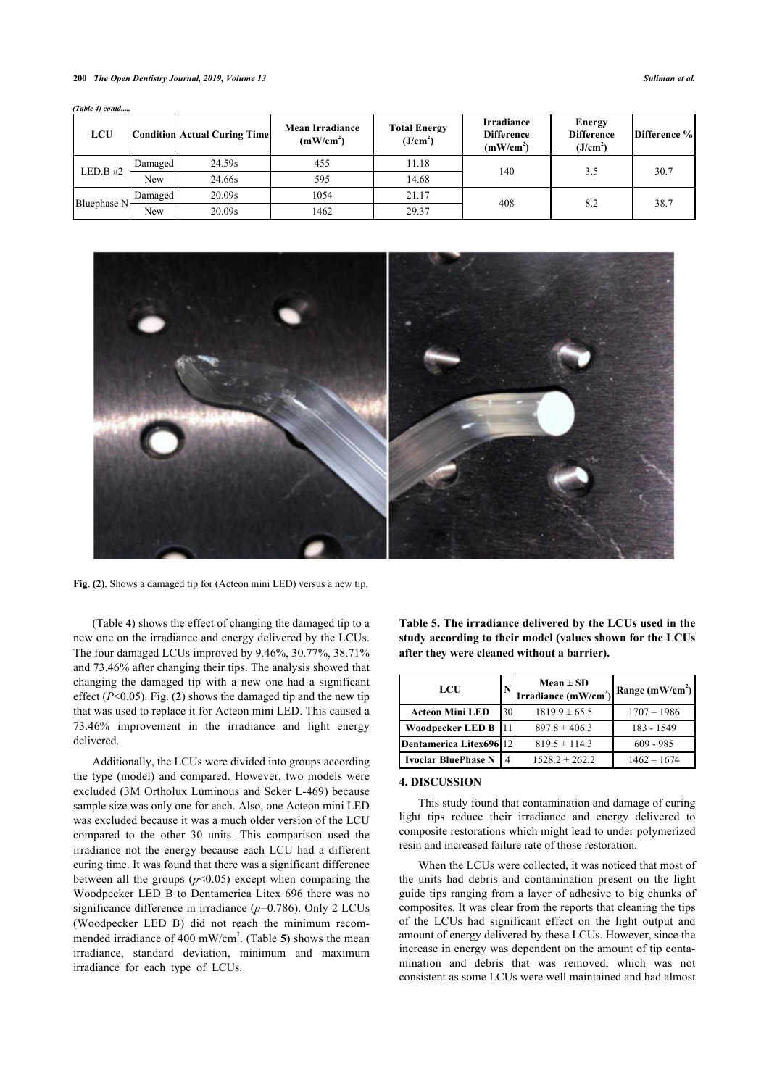#### **200** *The Open Dentistry Journal, 2019, Volume 13 Suliman et al.*

| <b>LCU</b>  |         | Condition Actual Curing Time | <b>Mean Irradiance</b><br>(mW/cm <sup>2</sup> ) | <b>Total Energy</b><br>(J/cm <sup>2</sup> ) | <b>Irradiance</b><br><b>Difference</b><br>(mW/cm <sup>2</sup> ) | <b>Energy</b><br><b>Difference</b><br>(J/cm <sup>2</sup> ) | Difference % |
|-------------|---------|------------------------------|-------------------------------------------------|---------------------------------------------|-----------------------------------------------------------------|------------------------------------------------------------|--------------|
| $LED.B$ #2  | Damaged | 24.59s                       | 455                                             | 11.18                                       | 140                                                             | 3.5                                                        | 30.7         |
|             | New     | 24.66s                       | 595                                             | 14.68                                       |                                                                 |                                                            |              |
|             | Damaged | 20.09s                       | 1054                                            | 21.17                                       | 408                                                             | 8.2                                                        | 38.7         |
| Bluephase N | New     | 20.09s                       | 1462                                            | 29.37                                       |                                                                 |                                                            |              |

*(Table 4) contd.....*

<span id="page-4-0"></span>

**Fig. (2).** Shows a damaged tip for (Acteon mini LED) versus a new tip.

(Table **[4](#page-3-0)**) shows the effect of changing the damaged tip to a new one on the irradiance and energy delivered by the LCUs. The four damaged LCUs improved by 9.46%, 30.77%, 38.71% and 73.46% after changing their tips. The analysis showed that changing the damaged tip with a new one had a significant effect (*P*<0.05). Fig. (**[2](#page-4-0)**) shows the damaged tip and the new tip that was used to replace it for Acteon mini LED. This caused a 73.46% improvement in the irradiance and light energy delivered.

<span id="page-4-1"></span>Additionally, the LCUs were divided into groups according the type (model) and compared. However, two models were excluded (3M Ortholux Luminous and Seker L-469) because sample size was only one for each. Also, one Acteon mini LED was excluded because it was a much older version of the LCU compared to the other 30 units. This comparison used the irradiance not the energy because each LCU had a different curing time. It was found that there was a significant difference between all the groups  $(p<0.05)$  except when comparing the Woodpecker LED B to Dentamerica Litex 696 there was no significance difference in irradiance (*p*=0.786). Only 2 LCUs (Woodpecker LED B) did not reach the minimum recom-mended irradiance of 400 mW/cm<sup>2</sup>. (Table [5](#page-4-1)) shows the mean irradiance, standard deviation, minimum and maximum irradiance for each type of LCUs.

| Table 5. The irradiance delivered by the LCUs used in the |  |
|-----------------------------------------------------------|--|
| study according to their model (values shown for the LCUs |  |
| after thev were cleaned without a barrier).               |  |

| LCU                        | N  | $Mean \pm SD$<br>Irradiance $(mW/cm2)$ | Range $(mW/cm2)$ |
|----------------------------|----|----------------------------------------|------------------|
| <b>Acteon Mini LED</b>     | 30 | $1819.9 \pm 65.5$                      | $1707 - 1986$    |
| Woodpecker LED B           |    | $897.8 \pm 406.3$                      | 183 - 1549       |
| Dentamerica Litex696 12    |    | $819.5 \pm 114.3$                      | $609 - 985$      |
| <b>Ivoclar BluePhase N</b> |    | $1528.2 \pm 262.2$                     | $1462 - 1674$    |

#### **4. DISCUSSION**

This study found that contamination and damage of curing light tips reduce their irradiance and energy delivered to composite restorations which might lead to under polymerized resin and increased failure rate of those restoration.

When the LCUs were collected, it was noticed that most of the units had debris and contamination present on the light guide tips ranging from a layer of adhesive to big chunks of composites. It was clear from the reports that cleaning the tips of the LCUs had significant effect on the light output and amount of energy delivered by these LCUs. However, since the increase in energy was dependent on the amount of tip contamination and debris that was removed, which was not consistent as some LCUs were well maintained and had almost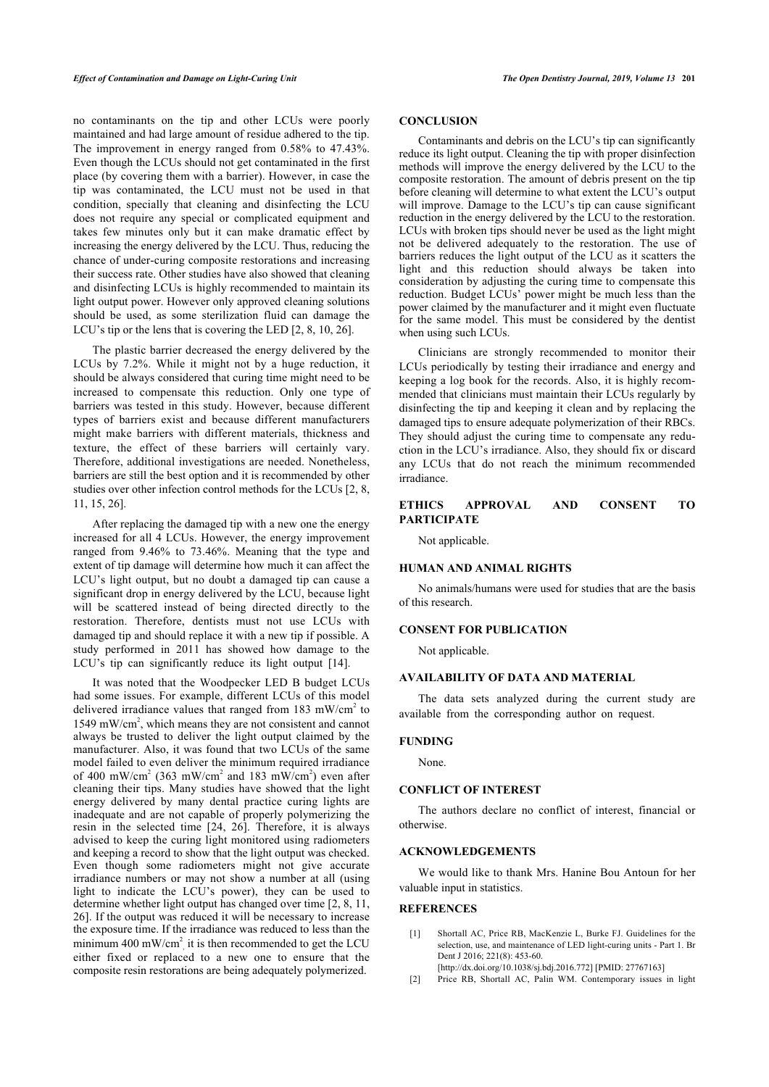no contaminants on the tip and other LCUs were poorly maintained and had large amount of residue adhered to the tip. The improvement in energy ranged from 0.58% to 47.43%. Even though the LCUs should not get contaminated in the first place (by covering them with a barrier). However, in case the tip was contaminated, the LCU must not be used in that condition, specially that cleaning and disinfecting the LCU does not require any special or complicated equipment and takes few minutes only but it can make dramatic effect by increasing the energy delivered by the LCU. Thus, reducing the chance of under-curing composite restorations and increasing their success rate. Other studies have also showed that cleaning and disinfecting LCUs is highly recommended to maintain its light output power. However only approved cleaning solutions should be used, as some sterilization fluid can damage the LCU's tip or the lens that is covering the LED [[2](#page-5-1), [8](#page-6-3), [10,](#page-6-20) [26](#page-6-1)].

The plastic barrier decreased the energy delivered by the LCUs by 7.2%. While it might not by a huge reduction, it should be always considered that curing time might need to be increased to compensate this reduction. Only one type of barriers was tested in this study. However, because different types of barriers exist and because different manufacturers might make barriers with different materials, thickness and texture, the effect of these barriers will certainly vary. Therefore, additional investigations are needed. Nonetheless, barriers are still the best option and it is recommended by other studies over other infection control methods for the LCUs [[2](#page-5-1), [8](#page-6-3), [11,](#page-6-4) [15](#page-6-8), [26\]](#page-6-1).

After replacing the damaged tip with a new one the energy increased for all 4 LCUs. However, the energy improvement ranged from 9.46% to 73.46%. Meaning that the type and extent of tip damage will determine how much it can affect the LCU's light output, but no doubt a damaged tip can cause a significant drop in energy delivered by the LCU, because light will be scattered instead of being directed directly to the restoration. Therefore, dentists must not use LCUs with damaged tip and should replace it with a new tip if possible. A study performed in 2011 has showed how damage to the LCU's tip can significantly reduce its light output [\[14](#page-6-6)].

<span id="page-5-1"></span><span id="page-5-0"></span>It was noted that the Woodpecker LED B budget LCUs had some issues. For example, different LCUs of this model delivered irradiance values that ranged from 183 mW/cm<sup>2</sup> to 1549 mW/cm<sup>2</sup>, which means they are not consistent and cannot always be trusted to deliver the light output claimed by the manufacturer. Also, it was found that two LCUs of the same model failed to even deliver the minimum required irradiance of 400 mW/cm<sup>2</sup> (363 mW/cm<sup>2</sup> and 183 mW/cm<sup>2</sup>) even after cleaning their tips. Many studies have showed that the light energy delivered by many dental practice curing lights are inadequate and are not capable of properly polymerizing the resin in the selected time [\[24,](#page-6-16) [26](#page-6-1)]. Therefore, it is always advised to keep the curing light monitored using radiometers and keeping a record to show that the light output was checked. Even though some radiometers might not give accurate irradiance numbers or may not show a number at all (using light to indicate the LCU's power), they can be used to determine whether light output has changed over time [[2](#page-5-1), [8](#page-6-3), [11](#page-6-4), [26\]](#page-6-1). If the output was reduced it will be necessary to increase the exposure time. If the irradiance was reduced to less than the minimum 400 mW/cm<sup>2</sup> it is then recommended to get the LCU either fixed or replaced to a new one to ensure that the composite resin restorations are being adequately polymerized.

# **CONCLUSION**

Contaminants and debris on the LCU's tip can significantly reduce its light output. Cleaning the tip with proper disinfection methods will improve the energy delivered by the LCU to the composite restoration. The amount of debris present on the tip before cleaning will determine to what extent the LCU's output will improve. Damage to the LCU's tip can cause significant reduction in the energy delivered by the LCU to the restoration. LCUs with broken tips should never be used as the light might not be delivered adequately to the restoration. The use of barriers reduces the light output of the LCU as it scatters the light and this reduction should always be taken into consideration by adjusting the curing time to compensate this reduction. Budget LCUs' power might be much less than the power claimed by the manufacturer and it might even fluctuate for the same model. This must be considered by the dentist when using such LCUs.

Clinicians are strongly recommended to monitor their LCUs periodically by testing their irradiance and energy and keeping a log book for the records. Also, it is highly recommended that clinicians must maintain their LCUs regularly by disinfecting the tip and keeping it clean and by replacing the damaged tips to ensure adequate polymerization of their RBCs. They should adjust the curing time to compensate any reduction in the LCU's irradiance. Also, they should fix or discard any LCUs that do not reach the minimum recommended irradiance.

# **ETHICS APPROVAL AND CONSENT TO PARTICIPATE**

Not applicable.

#### **HUMAN AND ANIMAL RIGHTS**

No animals/humans were used for studies that are the basis of this research.

# **CONSENT FOR PUBLICATION**

Not applicable.

# **AVAILABILITY OF DATA AND MATERIAL**

The data sets analyzed during the current study are available from the corresponding author on request.

### **FUNDING**

None.

#### **CONFLICT OF INTEREST**

The authors declare no conflict of interest, financial or otherwise.

#### **ACKNOWLEDGEMENTS**

We would like to thank Mrs. Hanine Bou Antoun for her valuable input in statistics.

# **REFERENCES**

- [1] Shortall AC, Price RB, MacKenzie L, Burke FJ. Guidelines for the selection, use, and maintenance of LED light-curing units - Part 1. Br Dent J 2016: 221(8): 453-60.
	- [\[http://dx.doi.org/10.1038/sj.bdj.2016.772\]](http://dx.doi.org/10.1038/sj.bdj.2016.772) [PMID: [27767163](http://www.ncbi.nlm.nih.gov/pubmed/27767163)]
- [2] Price RB, Shortall AC, Palin WM. Contemporary issues in light